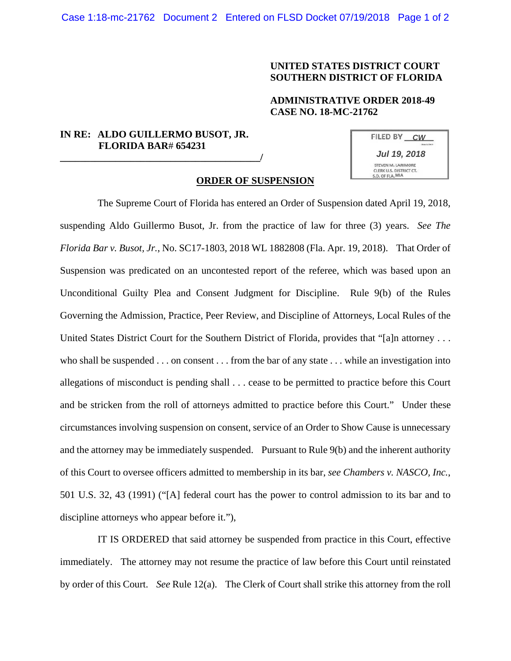## **UNITED STATES DISTRICT COURT SOUTHERN DISTRICT OF FLORIDA**

## **ADMINISTRATIVE ORDER 2018-49 CASE NO. 18-MC-21762**

## **IN RE: ALDO GUILLERMO BUSOT, JR. FLORIDA BAR**# **654231**

**\_\_\_\_\_\_\_\_\_\_\_\_\_\_\_\_\_\_\_\_\_\_\_\_\_\_\_\_\_\_\_\_\_\_\_\_\_\_\_\_/**

| <b>FILED BY</b><br>СW   |  |
|-------------------------|--|
|                         |  |
| Jul 19, 2018            |  |
| STEVEN M. LARIMORE      |  |
| CLERK U.S. DISTRICT CT. |  |
| S.D. OF FLA, MIA        |  |

## **ORDER OF SUSPENSION**

 The Supreme Court of Florida has entered an Order of Suspension dated April 19, 2018, suspending Aldo Guillermo Busot, Jr. from the practice of law for three (3) years. *See The Florida Bar v. Busot, Jr.*, No. SC17-1803, 2018 WL 1882808 (Fla. Apr. 19, 2018). That Order of Suspension was predicated on an uncontested report of the referee, which was based upon an Unconditional Guilty Plea and Consent Judgment for Discipline. Rule 9(b) of the Rules Governing the Admission, Practice, Peer Review, and Discipline of Attorneys, Local Rules of the United States District Court for the Southern District of Florida, provides that "[a]n attorney . . . who shall be suspended . . . on consent . . . from the bar of any state . . . while an investigation into allegations of misconduct is pending shall . . . cease to be permitted to practice before this Court and be stricken from the roll of attorneys admitted to practice before this Court." Under these circumstances involving suspension on consent, service of an Order to Show Cause is unnecessary and the attorney may be immediately suspended. Pursuant to Rule 9(b) and the inherent authority of this Court to oversee officers admitted to membership in its bar, *see Chambers v. NASCO, Inc.*, 501 U.S. 32, 43 (1991) ("[A] federal court has the power to control admission to its bar and to discipline attorneys who appear before it."),

 IT IS ORDERED that said attorney be suspended from practice in this Court, effective immediately. The attorney may not resume the practice of law before this Court until reinstated by order of this Court. *See* Rule 12(a). The Clerk of Court shall strike this attorney from the roll